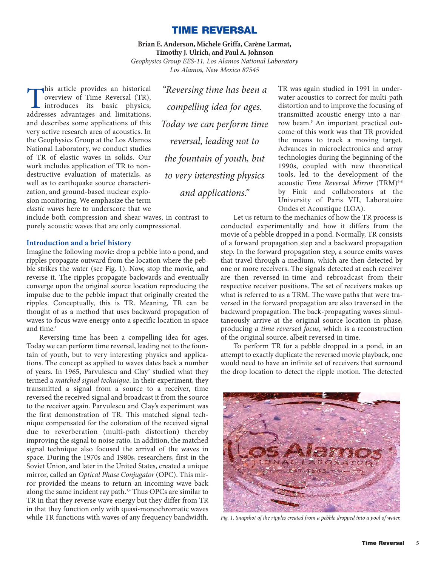## **TIME REVERSAL**

**Brian E. Anderson, Michele Griffa, Carène Larmat, Timothy J. Ulrich, and Paul A. Johnson** *Geophysics Group EES-11, Los Alamos National Laboratory Los Alamos, New Mexico 87545*

This article provides an historical<br>overview of Time Reversal (TR),<br>introduces its basic physics,<br>addresses advantages and limitations. overview of Time Reversal (TR), introduces its basic physics, addresses advantages and limitations, and describes some applications of this very active research area of acoustics. In the Geophysics Group at the Los Alamos National Laboratory, we conduct studies of TR of elastic waves in solids. Our work includes application of TR to nondestructive evaluation of materials, as well as to earthquake source characterization, and ground-based nuclear explosion monitoring. We emphasize the term *elastic waves* here to underscore that we

include both compression and shear waves, in contrast to purely acoustic waves that are only compressional.

## **Introduction and a brief history**

Imagine the following movie: drop a pebble into a pond, and ripples propagate outward from the location where the pebble strikes the water (see Fig. 1). Now, stop the movie, and reverse it. The ripples propagate backwards and eventually converge upon the original source location reproducing the impulse due to the pebble impact that originally created the ripples. Conceptually, this is TR. Meaning, TR can be thought of as a method that uses backward propagation of waves to focus wave energy onto a specific location in space and time.<sup>1</sup>

Reversing time has been a compelling idea for ages. Today we can perform time reversal, leading not to the fountain of youth, but to very interesting physics and applications. The concept as applied to waves dates back a number of years. In 1965, Parvulescu and Clay<sup>2</sup> studied what they termed a *matched signal technique*. In their experiment, they transmitted a signal from a source to a receiver, time reversed the received signal and broadcast it from the source to the receiver again. Parvulescu and Clay's experiment was the first demonstration of TR. This matched signal technique compensated for the coloration of the received signal due to reverberation (multi-path distortion) thereby improving the signal to noise ratio. In addition, the matched signal technique also focused the arrival of the waves in space. During the 1970s and 1980s, researchers, first in the Soviet Union, and later in the United States, created a unique mirror, called an *Optical Phase Conjugator* (OPC). This mirror provided the means to return an incoming wave back along the same incident ray path.<sup>3,4</sup> Thus OPCs are similar to TR in that they reverse wave energy but they differ from TR in that they function only with quasi-monochromatic waves while TR functions with waves of any frequency bandwidth.

*"Reversing time has been a compelling idea for ages. Today we can perform time reversal, leading not to the fountain of youth, but to very interesting physics and applications."*

TR was again studied in 1991 in underwater acoustics to correct for multi-path distortion and to improve the focusing of transmitted acoustic energy into a narrow beam.<sup>5</sup> An important practical outcome of this work was that TR provided the means to track a moving target. Advances in microelectronics and array technologies during the beginning of the 1990s, coupled with new theoretical tools, led to the development of the acoustic *Time Reversal Mirror* (TRM)6-8 by Fink and collaborators at the University of Paris VII, Laboratoire Ondes et Acoustique (LOA).

Let us return to the mechanics of how the TR process is conducted experimentally and how it differs from the movie of a pebble dropped in a pond. Normally, TR consists of a forward propagation step and a backward propagation step. In the forward propagation step, a source emits waves that travel through a medium, which are then detected by one or more receivers. The signals detected at each receiver are then reversed-in-time and rebroadcast from their respective receiver positions. The set of receivers makes up what is referred to as a TRM. The wave paths that were traversed in the forward propagation are also traversed in the backward propagation. The back-propagating waves simultaneously arrive at the original source location in phase, producing *a time reversed focus*, which is a reconstruction of the original source, albeit reversed in time.

To perform TR for a pebble dropped in a pond, in an attempt to exactly duplicate the reversed movie playback, one would need to have an infinite set of receivers that surround the drop location to detect the ripple motion. The detected



*Fig. 1. Snapshot of the ripples created from a pebble dropped into a pool of water.*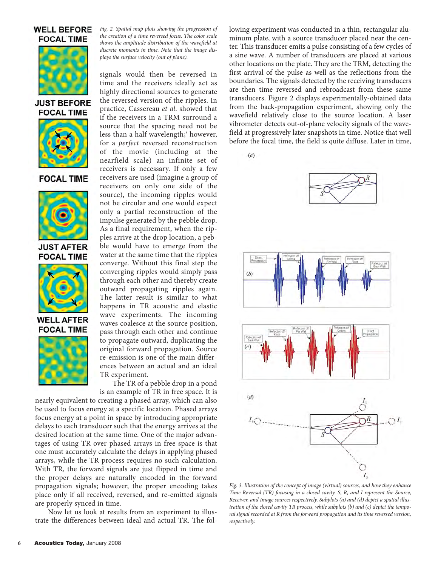## **WELL BEFORE FOCAL TIME**



**JUST BEFORE FOCAL TIME** 



# **FOCAL TIME**



**JUST AFTER FOCAL TIME** 



**WELL AFTER FOCAL TIME** 



*Fig. 2. Spatial map plots showing the progression of the creation of a time reversed focus. The color scale shows the amplitude distribution of the wavefield at discrete moments in time. Note that the image displays the surface velocity (out of plane).* 

signals would then be reversed in time and the receivers ideally act as highly directional sources to generate the reversed version of the ripples. In practice, Cassereau *et al*. showed that if the receivers in a TRM surround a source that the spacing need not be less than a half wavelength;<sup>8</sup> however, for a *perfect* reversed reconstruction of the movie (including at the nearfield scale) an infinite set of receivers is necessary. If only a few receivers are used (imagine a group of receivers on only one side of the source), the incoming ripples would not be circular and one would expect only a partial reconstruction of the impulse generated by the pebble drop. As a final requirement, when the ripples arrive at the drop location, a pebble would have to emerge from the water at the same time that the ripples converge. Without this final step the converging ripples would simply pass through each other and thereby create outward propagating ripples again. The latter result is similar to what happens in TR acoustic and elastic wave experiments. The incoming waves coalesce at the source position, pass through each other and continue to propagate outward, duplicating the original forward propagation. Source re-emission is one of the main differences between an actual and an ideal TR experiment.

The TR of a pebble drop in a pond is an example of TR in free space. It is

nearly equivalent to creating a phased array, which can also be used to focus energy at a specific location. Phased arrays focus energy at a point in space by introducing appropriate delays to each transducer such that the energy arrives at the desired location at the same time. One of the major advantages of using TR over phased arrays in free space is that one must accurately calculate the delays in applying phased arrays, while the TR process requires no such calculation. With TR, the forward signals are just flipped in time and the proper delays are naturally encoded in the forward propagation signals; however, the proper encoding takes place only if all received, reversed, and re-emitted signals are properly synced in time.

Now let us look at results from an experiment to illustrate the differences between ideal and actual TR. The following experiment was conducted in a thin, rectangular aluminum plate, with a source transducer placed near the center. This transducer emits a pulse consisting of a few cycles of a sine wave. A number of transducers are placed at various other locations on the plate. They are the TRM, detecting the first arrival of the pulse as well as the reflections from the boundaries. The signals detected by the receiving transducers are then time reversed and rebroadcast from these same transducers. Figure 2 displays experimentally-obtained data from the back-propagation experiment, showing only the wavefield relatively close to the source location. A laser vibrometer detects out-of-plane velocity signals of the wavefield at progressively later snapshots in time. Notice that well before the focal time, the field is quite diffuse. Later in time,







*Fig. 3. Illustration of the concept of image (virtual) sources, and how they enhance Time Reversal (TR) focusing in a closed cavity. S, R, and I represent the Source, Receiver, and Image sources respectively. Subplots (a) and (d) depict a spatial illustration of the closed cavity TR process, while subplots (b) and (c) depict the temporal signal recorded at R from the forward propagation and its time reversed version, respectively.*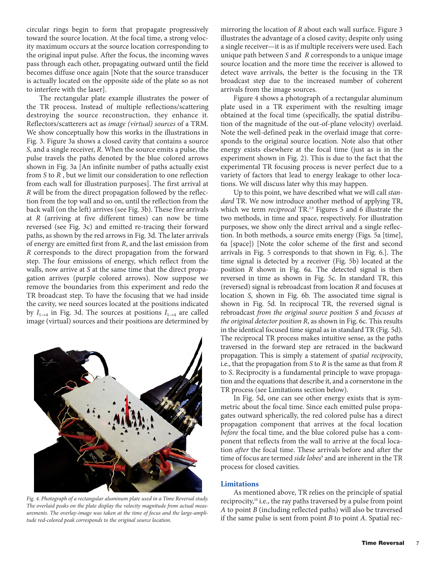circular rings begin to form that propagate progressively toward the source location. At the focal time, a strong velocity maximum occurs at the source location corresponding to the original input pulse. After the focus, the incoming waves pass through each other, propagating outward until the field becomes diffuse once again [Note that the source transducer is actually located on the opposite side of the plate so as not to interfere with the laser].

The rectangular plate example illustrates the power of the TR process. Instead of multiple reflections/scattering destroying the source reconstruction, they enhance it. Reflectors/scatterers act as *image (virtual) sources* of a TRM. We show conceptually how this works in the illustrations in Fig. 3. Figure 3a shows a closed cavity that contains a source *S*, and a single receiver, *R*. When the source emits a pulse, the pulse travels the paths denoted by the blue colored arrows shown in Fig. 3a [An infinite number of paths actually exist from *S* to *R* , but we limit our consideration to one reflection from each wall for illustration purposes]. The first arrival at *R* will be from the direct propagation followed by the reflection from the top wall and so on, until the reflection from the back wall (on the left) arrives (see Fig. 3b). These five arrivals at *R* (arriving at five different times) can now be time reversed (see Fig. 3c) and emitted re-tracing their forward paths, as shown by the red arrows in Fig. 3d. The later arrivals of energy are emitted first from *R*, and the last emission from *R* corresponds to the direct propagation from the forward step. The four emissions of energy, which reflect from the walls, now arrive at *S* at the same time that the direct propagation arrives (purple colored arrows). Now suppose we remove the boundaries from this experiment and redo the TR broadcast step. To have the focusing that we had inside the cavity, we need sources located at the positions indicated by  $I_{1\rightarrow 4}$  in Fig. 3d. The sources at positions  $I_{1\rightarrow 4}$  are called image (virtual) sources and their positions are determined by



*Fig. 4. Photograph of a rectangular aluminum plate used in a Time Reversal study. The overlaid peaks on the plate display the velocity magnitude from actual measurements. The overlay-image was taken at the time of focus and the large-amplitude red-colored peak corresponds to the original source location.*

mirroring the location of *R* about each wall surface. Figure 3 illustrates the advantage of a closed cavity; despite only using a single receiver—it is as if multiple receivers were used. Each unique path between *S* and *R* corresponds to a unique image source location and the more time the receiver is allowed to detect wave arrivals, the better is the focusing in the TR broadcast step due to the increased number of coherent arrivals from the image sources.

Figure 4 shows a photograph of a rectangular aluminum plate used in a TR experiment with the resulting image obtained at the focal time (specifically, the spatial distribution of the magnitude of the out-of-plane velocity) overlaid. Note the well-defined peak in the overlaid image that corresponds to the original source location. Note also that other energy exists elsewhere at the focal time (just as is in the experiment shown in Fig. 2). This is due to the fact that the experimental TR focusing process is never perfect due to a variety of factors that lead to energy leakage to other locations. We will discuss later why this may happen.

Up to this point, we have described what we will call *standard* TR. We now introduce another method of applying TR, which we term *reciprocal* TR.<sup>2,9</sup> Figures 5 and 6 illustrate the two methods, in time and space, respectively. For illustration purposes, we show only the direct arrival and a single reflection. In both methods, a source emits energy (Figs. 5a [time], 6a [space]) [Note the color scheme of the first and second arrivals in Fig. 5 corresponds to that shown in Fig. 6.]. The time signal is detected by a receiver (Fig. 5b) located at the position *R* shown in Fig. 6a. The detected signal is then reversed in time as shown in Fig. 5c. In standard TR, this (reversed) signal is rebroadcast from location *R* and focuses at location *S*, shown in Fig. 6b. The associated time signal is shown in Fig. 5d. In reciprocal TR, the reversed signal is rebroadcast *from the original source position S* and *focuses at the original detector position R*, as shown in Fig. 6c. This results in the identical focused time signal as in standard TR (Fig. 5d). The reciprocal TR process makes intuitive sense, as the paths traversed in the forward step are retraced in the backward propagation. This is simply a statement of *spatial reciprocity*, i.e., that the propagation from *S* to *R* is the same as that from *R* to *S*. Reciprocity is a fundamental principle to wave propagation and the equations that describe it, and a cornerstone in the TR process (see Limitations section below).

In Fig. 5d, one can see other energy exists that is symmetric about the focal time. Since each emitted pulse propagates outward spherically, the red colored pulse has a direct propagation component that arrives at the focal location *before* the focal time, and the blue colored pulse has a component that reflects from the wall to arrive at the focal location *after* the focal time. These arrivals before and after the time of focus are termed *side lobes*<sup>9</sup> and are inherent in the TR process for closed cavities.

#### **Limitations**

As mentioned above, TR relies on the principle of spatial reciprocity,<sup>10</sup> i.e., the ray paths traversed by a pulse from point *A* to point *B* (including reflected paths) will also be traversed if the same pulse is sent from point *B* to point *A*. Spatial rec-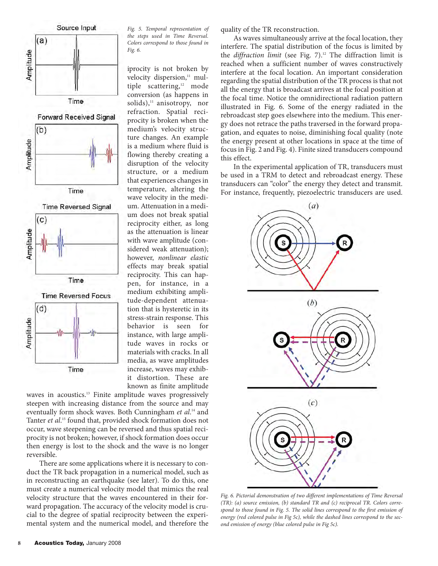

*Fig. 5. Temporal representation of the steps used in Time Reversal. Colors correspond to those found in Fig. 6.* 

iprocity is not broken by velocity dispersion,<sup>11</sup> multiple scattering,<sup>12</sup> mode conversion (as happens in solids), $\frac{11}{11}$  anisotropy, nor refraction. Spatial reciprocity is broken when the medium's velocity structure changes. An example is a medium where fluid is flowing thereby creating a disruption of the velocity structure, or a medium that experiences changes in temperature, altering the wave velocity in the medium. Attenuation in a medium does not break spatial reciprocity either, as long as the attenuation is linear with wave amplitude (considered weak attenuation); however, *nonlinear elastic* effects may break spatial reciprocity. This can happen, for instance, in a medium exhibiting amplitude-dependent attenuation that is hysteretic in its stress-strain response. This behavior is seen for instance, with large amplitude waves in rocks or materials with cracks. In all media, as wave amplitudes increase, waves may exhibit distortion. These are known as finite amplitude

waves in acoustics.<sup>13</sup> Finite amplitude waves progressively steepen with increasing distance from the source and may eventually form shock waves. Both Cunningham *et al*. <sup>14</sup> and Tanter *et al*. <sup>15</sup> found that, provided shock formation does not occur, wave steepening can be reversed and thus spatial reciprocity is not broken; however, if shock formation does occur then energy is lost to the shock and the wave is no longer reversible.

There are some applications where it is necessary to conduct the TR back propagation in a numerical model, such as in reconstructing an earthquake (see later). To do this, one must create a numerical velocity model that mimics the real velocity structure that the waves encountered in their forward propagation. The accuracy of the velocity model is crucial to the degree of spatial reciprocity between the experimental system and the numerical model, and therefore the

quality of the TR reconstruction.

As waves simultaneously arrive at the focal location, they interfere. The spatial distribution of the focus is limited by the *diffraction limit* (see Fig. 7).<sup>12</sup> The diffraction limit is reached when a sufficient number of waves constructively interfere at the focal location. An important consideration regarding the spatial distribution of the TR process is that not all the energy that is broadcast arrives at the focal position at the focal time. Notice the omnidirectional radiation pattern illustrated in Fig. 6. Some of the energy radiated in the rebroadcast step goes elsewhere into the medium. This energy does not retrace the paths traversed in the forward propagation, and equates to noise, diminishing focal quality (note the energy present at other locations in space at the time of focus in Fig. 2 and Fig. 4). Finite sized transducers compound this effect.

In the experimental application of TR, transducers must be used in a TRM to detect and rebroadcast energy. These transducers can "color" the energy they detect and transmit. For instance, frequently, piezoelectric transducers are used.



*Fig. 6. Pictorial demonstration of two different implementations of Time Reversal (TR): (a) source emission, (b) standard TR and (c) reciprocal TR. Colors correspond to those found in Fig. 5. The solid lines correspond to the first emission of energy (red colored pulse in Fig 5c), while the dashed lines correspond to the second emission of energy (blue colored pulse in Fig 5c).*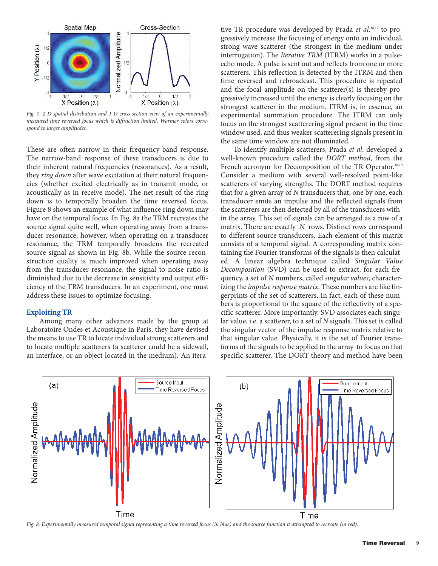

*Fig. 7. 2-D spatial distribution and 1-D cross-section view of an experimentally measured time reversed focus which is diffraction limited. Warmer colors correspond to larger amplitudes.*

These are often narrow in their frequency-band response. The narrow-band response of these transducers is due to their inherent natural frequencies (resonances). As a result, they *ring down* after wave excitation at their natural frequencies (whether excited electrically as in transmit mode, or acoustically as in receive mode). The net result of the ring down is to temporally broaden the time reversed focus. Figure 8 shows an example of what influence ring down may have on the temporal focus. In Fig. 8a the TRM recreates the source signal quite well, when operating away from a transducer resonance; however, when operating on a transducer resonance, the TRM temporally broadens the recreated source signal as shown in Fig. 8b. While the source reconstruction quality is much improved when operating away from the transducer resonance, the signal to noise ratio is diminished due to the decrease in sensitivity and output efficiency of the TRM transducers. In an experiment, one must address these issues to optimize focusing.

#### **Exploiting TR**

Among many other advances made by the group at Laboratoire Ondes et Acoustique in Paris, they have devised the means to use TR to locate individual strong scatterers and to locate multiple scatterers (a scatterer could be a sidewall, an interface, or an object located in the medium). An itera-

tive TR procedure was developed by Prada *et al*. 16,17 to progressively increase the focusing of energy onto an individual, strong wave scatterer (the strongest in the medium under interrogation). The *Iterative TRM* (ITRM) works in a pulseecho mode. A pulse is sent out and reflects from one or more scatterers. This reflection is detected by the ITRM and then time reversed and rebroadcast. This procedure is repeated and the focal amplitude on the scatterer(s) is thereby progressively increased until the energy is clearly focusing on the strongest scatterer in the medium. ITRM is, in essence, an experimental summation procedure. The ITRM can only focus on the strongest scatterering signal present in the time window used, and thus weaker scatterering signals present in the same time window are not illuminated.

To identify multiple scatterers, Prada *et al*. developed a well-known procedure called the *DORT method*, from the French acronym for Decomposition of the TR Operator.<sup>18,19</sup> Consider a medium with several well-resolved point-like scatterers of varying strengths. The DORT method requires that for a given array of *N* transducers that, one by one, each transducer emits an impulse and the reflected signals from the scatterers are then detected by all of the transducers within the array. This set of signals can be arranged as a row of a matrix. There are exactly *N* rows. Distinct rows correspond to different source transducers. Each element of this matrix consists of a temporal signal. A corresponding matrix containing the Fourier transforms of the signals is then calculated. A linear algebra technique called *Singular Value Decomposition* (SVD) can be used to extract, for each frequency, a set of *N* numbers, called *singular values*, characterizing the *impulse response matrix*. These numbers are like fingerprints of the set of scatterers. In fact, each of these numbers is proportional to the square of the reflectivity of a specific scatterer. More importantly, SVD associates each singular value, i.e. a scatterer, to a set of *N* signals. This set is called the singular vector of the impulse response matrix relative to that singular value. Physically, it is the set of Fourier transforms of the signals to be applied to the array to focus on that specific scatterer. The DORT theory and method have been





*Fig. 8. Experimentally measured temporal signal representing a time reversed focus (in blue) and the source function it attempted to recreate (in red).*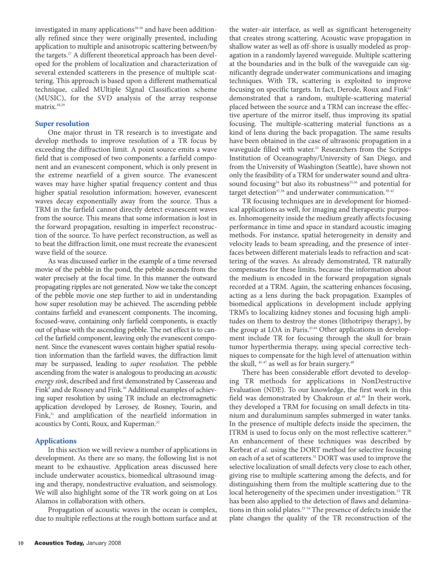investigated in many applications<sup>20-26</sup> and have been additionally refined since they were originally presented, including application to multiple and anisotropic scattering between/by the targets.<sup>27</sup> A different theoretical approach has been developed for the problem of localization and characterization of several extended scatterers in the presence of multiple scattering. This approach is based upon a different mathematical technique, called MUltiple SIgnal Classification scheme (MUSIC), for the SVD analysis of the array response matrix.<sup>28,29</sup>

## **Super resolution**

One major thrust in TR research is to investigate and develop methods to improve resolution of a TR focus by exceeding the diffraction limit. A point source emits a wave field that is composed of two components: a farfield component and an evanescent component, which is only present in the extreme nearfield of a given source. The evanescent waves may have higher spatial frequency content and thus higher spatial resolution information; however, evanescent waves decay exponentially away from the source. Thus a TRM in the farfield cannot directly detect evanescent waves from the source. This means that some information is lost in the forward propagation, resulting in imperfect reconstruction of the source. To have perfect reconstruction, as well as to beat the diffraction limit, one must recreate the evanescent wave field of the source.

As was discussed earlier in the example of a time reversed movie of the pebble in the pond, the pebble ascends from the water precisely at the focal time. In this manner the outward propagating ripples are not generated. Now we take the concept of the pebble movie one step further to aid in understanding how super resolution may be achieved. The ascending pebble contains farfield and evanescent components. The incoming, focused-wave, containing only farfield components, is exactly out of phase with the ascending pebble. The net effect is to cancel the farfield component, leaving only the evanescent component. Since the evanescent waves contain higher spatial resolution information than the farfield waves, the diffraction limit may be surpassed, leading to *super resolution*. The pebble ascending from the water is analogous to producing an *acoustic energy sink*, described and first demonstrated by Cassereau and Fink<sup>8</sup> and de Rosney and Fink.<sup>30</sup> Additional examples of achieving super resolution by using TR include an electromagnetic application developed by Lerosey, de Rosney, Tourin, and Fink,<sup>31</sup> and amplification of the nearfield information in acoustics by Conti, Roux, and Kuperman.<sup>32</sup>

#### **Applications**

In this section we will review a number of applications in development. As there are so many, the following list is not meant to be exhaustive. Application areas discussed here include underwater acoustics, biomedical ultrasound imaging and therapy, nondestructive evaluation, and seismology. We will also highlight some of the TR work going on at Los Alamos in collaboration with others.

Propagation of acoustic waves in the ocean is complex, due to multiple reflections at the rough bottom surface and at the water–air interface, as well as significant heterogeneity that creates strong scattering. Acoustic wave propagation in shallow water as well as off-shore is usually modeled as propagation in a randomly layered waveguide. Multiple scattering at the boundaries and in the bulk of the waveguide can significantly degrade underwater communications and imaging techniques. With TR, scattering is exploited to improve focusing on specific targets. In fact, Derode, Roux and Fink<sup>12</sup> demonstrated that a random, multiple-scattering material placed between the source and a TRM can increase the effective aperture of the mirror itself, thus improving its spatial focusing. The multiple-scattering material functions as a kind of lens during the back propagation. The same results have been obtained in the case of ultrasonic propagation in a waveguide filled with water.<sup>33</sup> Researchers from the Scripps Institution of Oceanography/University of San Diego, and from the University of Washington (Seattle), have shown not only the feasibility of a TRM for underwater sound and ultrasound focusing<sup>34</sup> but also its robustness<sup>35,36</sup> and potential for target detection<sup>37,38</sup> and underwater communication.<sup>39-42</sup>

TR focusing techniques are in development for biomedical applications as well, for imaging and therapeutic purposes. Inhomogeneity inside the medium greatly affects focusing performance in time and space in standard acoustic imaging methods. For instance, spatial heterogeneity in density and velocity leads to beam spreading, and the presence of interfaces between different materials leads to refraction and scattering of the waves. As already demonstrated, TR naturally compensates for these limits, because the information about the medium is encoded in the forward propagation signals recorded at a TRM. Again, the scattering enhances focusing, acting as a lens during the back propagation. Examples of biomedical applications in development include applying TRM's to localizing kidney stones and focusing high amplitudes on them to destroy the stones (lithotripsy therapy), by the group at LOA in Paris.<sup>43,44</sup> Other applications in development include TR for focusing through the skull for brain tumor hyperthermia therapy, using special corrective techniques to compensate for the high level of attenuation within the skull,  $45-47$  as well as for brain surgery.<sup>48</sup>

There has been considerable effort devoted to developing TR methods for applications in NonDestructive Evaluation (NDE). To our knowledge, the first work in this field was demonstrated by Chakroun *et al*. <sup>49</sup> In their work, they developed a TRM for focusing on small defects in titanium and duraluminum samples submerged in water tanks. In the presence of multiple defects inside the specimen, the ITRM is used to focus only on the most reflective scatterer.<sup>50</sup> An enhancement of these techniques was described by Kerbrat *et al*. using the DORT method for selective focusing on each of a set of scatterers.<sup>51</sup> DORT was used to improve the selective localization of small defects very close to each other, giving rise to multiple scattering among the defects, and for distinguishing them from the multiple scattering due to the local heterogeneity of the specimen under investigation.<sup>52</sup> TR has been also applied to the detection of flaws and delaminations in thin solid plates.<sup>53-54</sup> The presence of defects inside the plate changes the quality of the TR reconstruction of the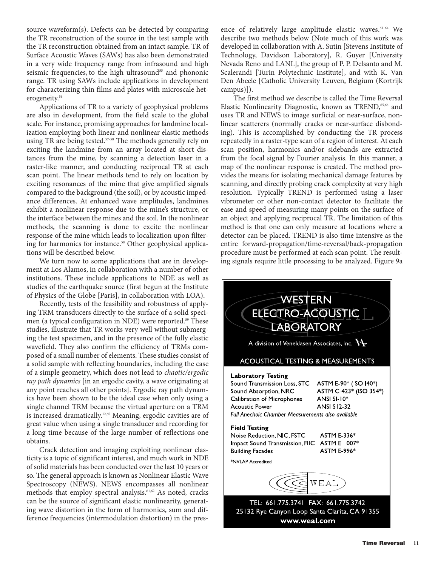source waveform(s). Defects can be detected by comparing the TR reconstruction of the source in the test sample with the TR reconstruction obtained from an intact sample. TR of Surface Acoustic Waves (SAWs) has also been demonstrated in a very wide frequency range from infrasound and high seismic frequencies, to the high ultrasound<sup>55</sup> and phononic range. TR using SAWs include applications in development for characterizing thin films and plates with microscale heterogeneity.<sup>56</sup>

Applications of TR to a variety of geophysical problems are also in development, from the field scale to the global scale. For instance, promising approaches for landmine localization employing both linear and nonlinear elastic methods using TR are being tested.<sup>57-58</sup> The methods generally rely on exciting the landmine from an array located at short distances from the mine, by scanning a detection laser in a raster-like manner, and conducting reciprocal TR at each scan point. The linear methods tend to rely on location by exciting resonances of the mine that give amplified signals compared to the background (the soil), or by acoustic impedance differences. At enhanced wave amplitudes, landmines exhibit a nonlinear response due to the mine's structure, or the interface between the mines and the soil. In the nonlinear methods, the scanning is done to excite the nonlinear response of the mine which leads to localization upon filtering for harmonics for instance.<sup>58</sup> Other geophysical applications will be described below.

We turn now to some applications that are in development at Los Alamos, in collaboration with a number of other institutions. These include applications to NDE as well as studies of the earthquake source (first begun at the Institute of Physics of the Globe [Paris], in collaboration with LOA).

Recently, tests of the feasibility and robustness of applying TRM transducers directly to the surface of a solid specimen (a typical configuration in NDE) were reported.<sup>59</sup> These studies, illustrate that TR works very well without submerging the test specimen, and in the presence of the fully elastic wavefield. They also confirm the efficiency of TRMs composed of a small number of elements. These studies consist of a solid sample with reflecting boundaries, including the case of a simple geometry, which does not lead to *chaotic/ergodic ray path dynamics* [in an ergodic cavity, a wave originating at any point reaches all other points]. Ergodic ray path dynamics have been shown to be the ideal case when only using a single channel TRM because the virtual aperture on a TRM is increased dramatically.<sup>12,60</sup> Meaning, ergodic cavities are of great value when using a single transducer and recording for a long time because of the large number of reflections one obtains.

Crack detection and imaging exploiting nonlinear elasticity is a topic of significant interest, and much work in NDE of solid materials has been conducted over the last 10 years or so. The general approach is known as Nonlinear Elastic Wave Spectroscopy (NEWS). NEWS encompasses all nonlinear methods that employ spectral analysis.61,62 As noted, cracks can be the source of significant elastic nonlinearity, generating wave distortion in the form of harmonics, sum and difference frequencies (intermodulation distortion) in the presence of relatively large amplitude elastic waves.<sup>61-64</sup> We describe two methods below (Note much of this work was developed in collaboration with A. Sutin [Stevens Institute of Technology, Davidson Laboratory], R. Guyer [University Nevada Reno and LANL], the group of P. P. Delsanto and M. Scalerandi [Turin Polytechnic Institute], and with K. Van Den Abeele [Catholic University Leuven, Belgium (Kortrijk campus)]).

The first method we describe is called the Time Reversal Elastic Nonlinearity Diagnostic, known as TREND,<sup>65,66</sup> and uses TR and NEWS to image surficial or near-surface, nonlinear scatterers (normally cracks or near-surface disbonding). This is accomplished by conducting the TR process repeatedly in a raster-type scan of a region of interest. At each scan position, harmonics and/or sidebands are extracted from the focal signal by Fourier analysis. In this manner, a map of the nonlinear response is created. The method provides the means for isolating mechanical damage features by scanning, and directly probing crack complexity at very high resolution. Typically TREND is performed using a laser vibrometer or other non-contact detector to facilitate the ease and speed of measuring many points on the surface of an object and applying reciprocal TR. The limitation of this method is that one can only measure at locations where a detector can be placed. TREND is also time intensive as the entire forward-propagation/time-reversal/back-propagation procedure must be performed at each scan point. The resulting signals require little processing to be analyzed. Figure 9a

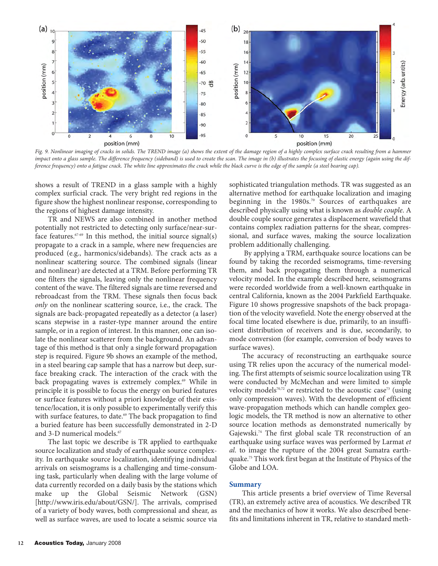

*Fig. 9. Nonlinear imaging of cracks in solids. The TREND image (a) shows the extent of the damage region of a highly complex surface crack resulting from a hammer impact onto a glass sample. The difference frequency (sideband) is used to create the scan. The image in (b) illustrates the focusing of elastic energy (again using the difference frequency) onto a fatigue crack. The white line approximates the crack while the black curve is the edge of the sample (a steel bearing cap).*

shows a result of TREND in a glass sample with a highly complex surficial crack. The very bright red regions in the figure show the highest nonlinear response, corresponding to the regions of highest damage intensity.

TR and NEWS are also combined in another method potentially not restricted to detecting only surface/near-surface features.<sup>67-69</sup> In this method, the initial source signal(s) propagate to a crack in a sample, where new frequencies are produced (e.g., harmonics/sidebands). The crack acts as a nonlinear scattering source. The combined signals (linear and nonlinear) are detected at a TRM. Before performing TR one filters the signals, leaving only the nonlinear frequency content of the wave. The filtered signals are time reversed and rebroadcast from the TRM. These signals then focus back *only* on the nonlinear scattering source, i.e., the crack. The signals are back-propagated repeatedly as a detector (a laser) scans stepwise in a raster-type manner around the entire sample, or in a region of interest. In this manner, one can isolate the nonlinear scatterer from the background. An advantage of this method is that only a single forward propagation step is required. Figure 9b shows an example of the method, in a steel bearing cap sample that has a narrow but deep, surface breaking crack. The interaction of the crack with the back propagating waves is extremely complex.<sup>69</sup> While in principle it is possible to focus the energy on buried features or surface features without a priori knowledge of their existence/location, it is only possible to experimentally verify this with surface features, to date.<sup>69</sup> The back propagation to find a buried feature has been successfully demonstrated in 2-D and 3-D numerical models.<sup>67</sup>

The last topic we describe is TR applied to earthquake source localization and study of earthquake source complexity. In earthquake source localization, identifying individual arrivals on seismograms is a challenging and time-consuming task, particularly when dealing with the large volume of data currently recorded on a daily basis by the stations which make up the Global Seismic Network (GSN) [http://www.iris.edu/about/GSN/]. The arrivals, comprised of a variety of body waves, both compressional and shear, as well as surface waves, are used to locate a seismic source via

sophisticated triangulation methods. TR was suggested as an alternative method for earthquake localization and imaging beginning in the 1980s.<sup>70</sup> Sources of earthquakes are described physically using what is known as *double couple*. A double couple source generates a displacement wavefield that contains complex radiation patterns for the shear, compressional, and surface waves, making the source localization problem additionally challenging.

By applying a TRM, earthquake source locations can be found by taking the recorded seismograms, time-reversing them, and back propagating them through a numerical velocity model. In the example described here, seismograms were recorded worldwide from a well-known earthquake in central California, known as the 2004 Parkfield Earthquake. Figure 10 shows progressive snapshots of the back propagation of the velocity wavefield. Note the energy observed at the focal time located elsewhere is due, primarily, to an insufficient distribution of receivers and is due, secondarily, to mode conversion (for example, conversion of body waves to surface waves).

The accuracy of reconstructing an earthquake source using TR relies upon the accuracy of the numerical modeling. The first attempts of seismic source localization using TR were conducted by McMechan and were limited to simple velocity models<sup>70,72</sup> or restricted to the acoustic case<sup>73</sup> (using only compression waves). With the development of efficient wave-propagation methods which can handle complex geologic models, the TR method is now an alternative to other source location methods as demonstrated numerically by Gajewski.74 The first global scale TR reconstruction of an earthquake using surface waves was performed by Larmat *et al*. to image the rupture of the 2004 great Sumatra earthquake.75 This work first began at the Institute of Physics of the Globe and LOA.

#### **Summary**

This article presents a brief overview of Time Reversal (TR), an extremely active area of acoustics. We described TR and the mechanics of how it works. We also described benefits and limitations inherent in TR, relative to standard meth-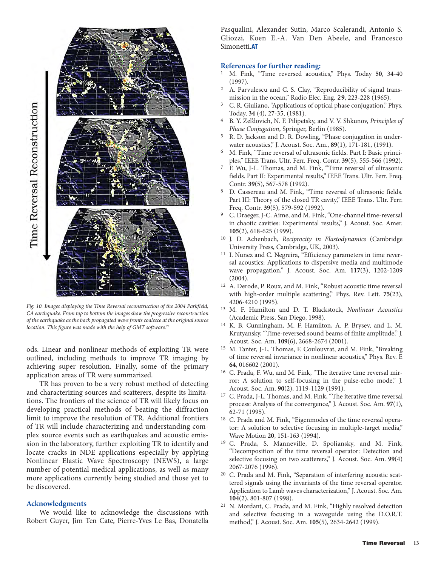

*Fig. 10. Images displaying the Time Reversal reconstruction of the 2004 Parkfield, CA earthquake. From top to bottom the images show the progressive reconstruction of the earthquake as the back propagated wave fronts coalesce at the original source location. This figure was made with the help of GMT software.<sup>71</sup>* 

ods. Linear and nonlinear methods of exploiting TR were outlined, including methods to improve TR imaging by achieving super resolution. Finally, some of the primary application areas of TR were summarized.

TR has proven to be a very robust method of detecting and characterizing sources and scatterers, despite its limitations. The frontiers of the science of TR will likely focus on developing practical methods of beating the diffraction limit to improve the resolution of TR. Additional frontiers of TR will include characterizing and understanding complex source events such as earthquakes and acoustic emission in the laboratory, further exploiting TR to identify and locate cracks in NDE applications especially by applying Nonlinear Elastic Wave Spectroscopy (NEWS), a large number of potential medical applications, as well as many more applications currently being studied and those yet to be discovered.

#### **Acknowledgments**

We would like to acknowledge the discussions with Robert Guyer, Jim Ten Cate, Pierre-Yves Le Bas, Donatella Pasqualini, Alexander Sutin, Marco Scalerandi, Antonio S. Gliozzi, Koen E.-A. Van Den Abeele, and Francesco Simonetti.**AT**

## **References for further reading:**

- 1 M. Fink, "Time reversed acoustics," Phys. Today **50**, 34-40 (1997).
- 2 A. Parvulescu and C. S. Clay, "Reproducibility of signal transmission in the ocean," Radio Elec. Eng. 2**9**, 223-228 (1965).
- 3 C. R. Giuliano, "Applications of optical phase conjugation," Phys. Today, **34** (4), 27-35, (1981).
- 4 B. Y. Zel'dovich, N. F. Pilipetsky, and V. V. Shkunov, *Principles of Phase Conjugation*, Springer, Berlin (1985).
- 5 R. D. Jackson and D. R. Dowling, "Phase conjugation in underwater acoustics," J. Acoust. Soc. Am., **89**(1), 171-181, (1991).
- 6 M. Fink, "Time reversal of ultrasonic fields. Part I: Basic principles," IEEE Trans. Ultr. Ferr. Freq. Contr. **39**(5), 555-566 (1992).
- 7 F. Wu, J-L. Thomas, and M. Fink, "Time reversal of ultrasonic fields. Part II: Experimental results," IEEE Trans. Ultr. Ferr. Freq. Contr. **39**(5), 567-578 (1992).
- 8 D. Cassereau and M. Fink, "Time reversal of ultrasonic fields. Part III: Theory of the closed TR cavity," IEEE Trans. Ultr. Ferr. Freq. Contr. **39**(5), 579-592 (1992).
- 9 C. Draeger, J-C. Aime, and M. Fink, "One-channel time-reversal in chaotic cavities: Experimental results," J. Acoust. Soc. Amer. **105**(2), 618-625 (1999).
- 10 J. D. Achenbach, *Reciprocity in Elastodynamics* (Cambridge University Press, Cambridge, UK, 2003).
- 11 I. Nunez and C. Negreira, "Efficiency parameters in time reversal acoustics: Applications to dispersive media and multimode wave propagation," J. Acoust. Soc. Am. **117**(3), 1202-1209 (2004).
- 12 A. Derode, P. Roux, and M. Fink, "Robust acoustic time reversal with high-order multiple scattering," Phys. Rev. Lett. **75**(23), 4206-4210 (1995).
- 13 M. F. Hamilton and D. T. Blackstock, *Nonlinear Acoustics* (Academic Press, San Diego, 1998).
- 14 K. B. Cunningham, M. F. Hamilton, A. P. Brysev, and L. M. Krutyansky, "Time-reversed sound beams of finite amplitude," J. Acoust. Soc. Am. **109**(6), 2668-2674 (2001).
- 15 M. Tanter, J-L. Thomas, F. Coulouvrat, and M. Fink, "Breaking of time reversal invariance in nonlinear acoustics," Phys. Rev. E **64**, 016602 (2001).
- 16 C. Prada, F. Wu, and M. Fink, "The iterative time reversal mirror: A solution to self-focusing in the pulse-echo mode," J. Acoust. Soc. Am. **90**(2), 1119-1129 (1991).
- 17 C. Prada, J-L. Thomas, and M. Fink, "The iterative time reversal process: Analysis of the convergence," J. Acoust. Soc. Am. **97**(1), 62-71 (1995).
- 18 C. Prada and M. Fink, "Eigenmodes of the time reversal operator: A solution to selective focusing in multiple-target media," Wave Motion **20**, 151-163 (1994).
- 19 C. Prada, S. Manneville, D. Spoliansky, and M. Fink, "Decomposition of the time reversal operator: Detection and selective focusing on two scatterers," J. Acoust. Soc. Am. **99**(4) 2067-2076 (1996).
- 20 C. Prada and M. Fink, "Separation of interfering acoustic scattered signals using the invariants of the time reversal operator. Application to Lamb waves characterization," J. Acoust. Soc. Am. **104**(2), 801-807 (1998).
- 21 N. Mordant, C. Prada, and M. Fink, "Highly resolved detection and selective focusing in a waveguide using the D.O.R.T. method," J. Acoust. Soc. Am. **105**(5), 2634-2642 (1999).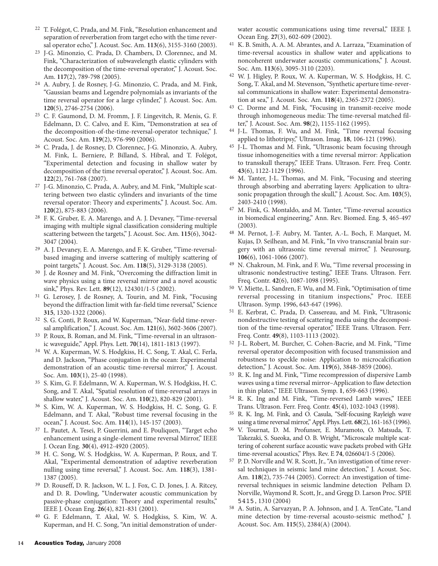- 22 T. Folégot, C. Prada, and M. Fink, "Resolution enhancement and separation of reverberation from target echo with the time reversal operator echo," J. Acoust. Soc. Am. **113**(6), 3155-3160 (2003).
- 23 J-G. Minonzio, C. Prada, D. Chambers, D. Clorennec, and M. Fink, "Characterization of subwavelength elastic cylinders with the decomposition of the time-reversal operator," J. Acoust. Soc. Am. **117**(2), 789-798 (2005).
- 24 A. Aubry, J. de Rosney, J-G. Minonzio, C. Prada, and M. Fink, "Gaussian beams and Legendre polynomials as invariants of the time reversal operator for a large cylinder," J. Acoust. Soc. Am. **120**(5), 2746-2754 (2006).
- 25 C. F. Gaumond, D. M. Fromm, J. F. Lingevitch, R. Menis, G. F. Edelmann, D. C. Calvo, and E. Kim, "Demonstration at sea of the decomposition-of-the-time-reversal-operator technique," J. Acoust. Soc. Am. **119**(2), 976-990 (2006).
- 26 C. Prada, J. de Rosney, D. Clorennec, J-G. Minonzio, A. Aubry, M. Fink, L. Berniere, P. Billand, S. Hibral, and T. Folégot, "Experimental detection and focusing in shallow water by decomposition of the time reversal operator," J. Acoust. Soc. Am. **122**(2), 761-768 (2007).
- 27 J-G. Minonzio, C. Prada, A. Aubry, and M. Fink, "Multiple scattering between two elastic cylinders and invariants of the time reversal operator: Theory and experiments," J. Acoust. Soc. Am. **120**(2), 875-883 (2006).
- 28 F. K. Gruber, E. A. Marengo, and A. J. Devaney, "Time-reversal imaging with multiple signal classification considering multiple scattering between the targets," J. Acoust. Soc. Am. **115**(6), 3042- 3047 (2004).
- 29 A. J. Devaney, E. A. Marengo, and F. K. Gruber, "Time-reversalbased imaging and inverse scattering of multiply scattering of point targets," J. Acoust. Soc. Am. **118**(5), 3129-3138 (2005).
- 30 J. de Rosney and M. Fink, "Overcoming the diffraction limit in wave physics using a time reversal mirror and a novel acoustic sink," Phys. Rev. Lett. **89**(12), 124301/1-5 (2002).
- 31 G. Lerosey, J. de Rosney, A. Tourin, and M. Fink, "Focusing beyond the diffraction limit with far-field time reversal," Science **315**, 1320-1322 (2006).
- 32 S. G. Conti, P. Roux, and W. Kuperman, "Near-field time-reversal amplification," J. Acoust. Soc. Am. **121**(6), 3602-3606 (2007).
- 33 P. Roux, B. Roman, and M. Fink, "Time-reversal in an ultrasonic waveguide," Appl. Phys. Lett. **70**(14), 1811-1813 (1997).
- 34 W. A. Kuperman, W. S. Hodgkiss, H. C. Song, T. Akal, C. Ferla, and D. Jackson, "Phase conjugation in the ocean: Experimental demonstration of an acoustic time-reversal mirror," J. Acoust. Soc. Am. **103**(1), 25-40 (1998).
- 35 S. Kim, G. F. Edelmann, W. A. Kuperman, W. S. Hodgkiss, H. C. Song, and T. Akal, "Spatial resolution of time-reversal arrays in shallow water," J. Acoust. Soc. Am. **110**(2), 820-829 (2001).
- 36 S. Kim, W. A. Kuperman, W. S. Hodgkiss, H. C. Song, G. F. Edelmann, and T. Akal, "Robust time reversal focusing in the ocean," J. Acoust. Soc. Am. **114**(1), 145-157 (2003).
- 37 L. Pautet, A. Tesei, P. Guerrini, and E. Pouliquen, "Target echo enhancement using a single-element time reversal Mirror," IEEE J. Ocean Eng. **30**(4), 4912-4920 (2005).
- 38 H. C. Song, W. S. Hodgkiss, W. A. Kuperman, P. Roux, and T. Akal, "Experimental demonstration of adaptive reverberation nulling using time reversal," J. Acoust. Soc. Am. **118**(3), 1381- 1387 (2005).
- 39 D. Rouseff, D. R. Jackson, W. L. J. Fox, C. D. Jones, J. A. Ritcey, and D. R. Dowling, "Underwater acoustic communication by passive-phase conjugation: Theory and experimental results," IEEE J. Ocean Eng. **26**(4), 821-831 (2001).
- 40 G. F. Edelmann, T. Akal, W. S. Hodgkiss, S. Kim, W. A. Kuperman, and H. C. Song, "An initial demonstration of under-

water acoustic communications using time reversal," IEEE J. Ocean Eng. **27**(3), 602-609 (2002).

- 41 K. B. Smith, A. A. M. Abrantes, and A. Larraza, "Examination of time-reversal acoustics in shallow water and applications to noncoherent underwater acoustic communications," J. Acoust. Soc. Am. **113**(6), 3095-3110 (2203).
- 42 W. J. Higley, P. Roux, W. A. Kuperman, W. S. Hodgkiss, H. C. Song, T. Akal, and M. Stevenson, "Synthetic aperture time-reversal communications in shallow water: Experimental demonstration at sea," J. Acoust. Soc. Am. **118**(4), 2365-2372 (2005).
- 43 C. Dorme and M. Fink, "Focusing in transmit-receive mode through inhomogeneous media: The time-reversal matched filter," J. Acoust. Soc. Am. **98**(2), 1155-1162 (1995).
- 44 J-L. Thomas, F. Wu, and M. Fink, "Time reversal focusing applied to lithotripsy," Ultrason. Imag. **18**, 106-121 (1996).
- 45 J-L. Thomas and M. Fink, "Ultrasonic beam focusing through tissue inhomogeneities with a time reversal mirror: Application to transskull therapy," IEEE Trans. Ultrason. Ferr. Freq. Contr. **43**(6), 1122-1129 (1996).
- 46 M. Tanter, J-L. Thomas, and M. Fink, "Focusing and steering through absorbing and aberrating layers: Application to ultrasonic propagation through the skull," J. Acoust. Soc. Am. **103**(5), 2403-2410 (1998).
- 47 M. Fink, G. Montaldo, and M. Tanter, "Time-reversal acoustics in biomedical engineering," Ann. Rev. Biomed. Eng. **5**, 465-497 (2003).
- 48 M. Pernot, J.-F. Aubry, M. Tanter, A.-L. Boch, F. Marquet, M. Kujas, D. Seilhean, and M. Fink, "In vivo transcranial brain surgery with an ultrasonic time reversal mirror," J. Neurosurg. **106**(6), 1061-1066 (2007).
- 49 N. Chakroun, M. Fink, and F. Wu, "Time reversal processing in ultrasonic nondestructive testing," IEEE Trans. Ultrason. Ferr. Freq. Contr. **42**(6), 1087-1098 (1995).
- 50 V. Miette, L. Sandren, F. Wu, and M. Fink, "Optimisation of time reversal processing in titanium inspections," Proc. IEEE Ultrason. Symp. 1996, 643-647 (1996).
- 51 E. Kerbrat, C. Prada, D. Cassereau, and M. Fink, "Ultrasonic nondestructive testing of scattering media using the decomposition of the time-reversal operator," IEEE Trans. Ultrason. Ferr. Freq. Contr. **49**(8), 1103-1113 (2002).
- 52 J-L. Robert, M. Burcher, C. Cohen-Bacrie, and M. Fink, "Time reversal operator decomposition with focused transmission and robustness to speckle noise: Application to microcalcification detection," J. Acoust. Soc. Am. **119**(6), 3848-3859 (2006).
- 53 R. K. Ing and M. Fink, "Time recompression of dispersive Lamb waves using a time reversal mirror–Application to flaw detection in thin plates," IEEE Ultrason. Symp. **1**, 659-663 (1996).
- 54 R. K. Ing and M. Fink, "Time-reversed Lamb waves," IEEE Trans. Ultrason. Ferr. Freq. Contr. **45**(4), 1032-1043 (1998).
- 55 R. K. Ing, M. Fink, and O. Casula, "Self-focusing Rayleigh wave using a time reversal mirror," Appl. Phys. Lett. **68**(2), 161-163 (1996).
- 56 V. Tournat, D. M. Profunser, E. Muramoto, O. Matsuda, T. Takezaki, S. Sueoka, and O. B. Wright, "Microscale multiple scattering of coherent surface acoustic wave packets probed with GHz time-reversal acoustics," Phys. Rev. E **74**, 026604/1-5 (2006).
- 57 P. D. Norville and W. R. Scott, Jr., "An investigation of time reversal techniques in seismic land mine detection," J. Acoust. Soc. Am. **118**(2), 735-744 (2005). Correct: An investigation of timereversal techniques in seismic landmine detection Pelham D. Norville, Waymond R. Scott, Jr., and Gregg D. Larson Proc. SPIE 5415, 1310 (2004)
- 58 A. Sutin, A. Sarvazyan, P. A. Johnson, and J. A. TenCate, "Land mine detection by time-reversal acousto-seismic method," J. Acoust. Soc. Am. **115**(5), 2384(A) (2004).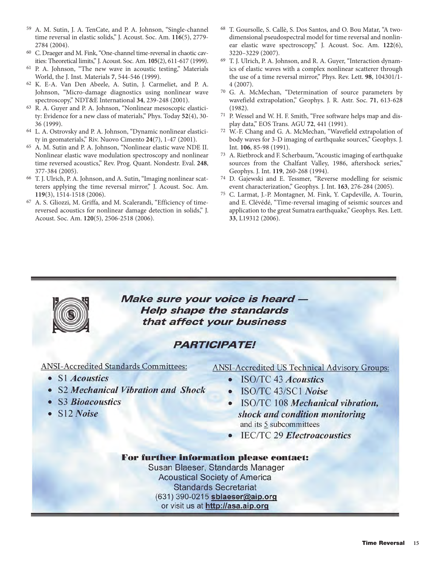- 59 A. M. Sutin, J. A. TenCate, and P. A. Johnson, "Single-channel time reversal in elastic solids," J. Acoust. Soc. Am. **116**(5), 2779- 2784 (2004).
- 60 C. Draeger and M. Fink, "One-channel time-reversal in chaotic cavities: Theoretical limits," J. Acoust. Soc. Am. **105**(2), 611-617 (1999).
- 61 P. A. Johnson, "The new wave in acoustic testing," Materials World, the J. Inst. Materials **7**, 544-546 (1999).
- 62 K. E-A. Van Den Abeele, A. Sutin, J. Carmeliet, and P. A. Johnson, "Micro-damage diagnostics using nonlinear wave spectroscopy," NDT&E International **34**, 239-248 (2001).
- 63 R. A. Guyer and P. A. Johnson, "Nonlinear mesoscopic elasticity: Evidence for a new class of materials," Phys. Today **52**(4), 30- 36 (1999).
- 64 L. A. Ostrovsky and P. A. Johnson, "Dynamic nonlinear elasticity in geomaterials," Riv. Nuovo Cimento **24**(7), 1-47 (2001).
- 65 A. M. Sutin and P. A. Johnson, "Nonlinear elastic wave NDE II. Nonlinear elastic wave modulation spectroscopy and nonlinear time reversed acoustics," Rev. Prog. Quant. Nondestr. Eval. **248**, 377-384 (2005).
- 66 T. J. Ulrich, P. A. Johnson, and A. Sutin, "Imaging nonlinear scatterers applying the time reversal mirror," J. Acoust. Soc. Am. **119**(3), 1514-1518 (2006).
- 67 A. S. Gliozzi, M. Griffa, and M. Scalerandi, "Efficiency of timereversed acoustics for nonlinear damage detection in solids," J. Acoust. Soc. Am. **120**(5), 2506-2518 (2006).
- 68 T. Goursolle, S. Callè, S. Dos Santos, and O. Bou Matar, "A twodimensional pseudospectral model for time reversal and nonlinear elastic wave spectroscopy," J. Acoust. Soc. Am. **122**(6), 3220–3229 (2007).
- 69 T. J. Ulrich, P. A. Johnson, and R. A. Guyer, "Interaction dynamics of elastic waves with a complex nonlinear scatterer through the use of a time reversal mirror," Phys. Rev. Lett. **98**, 104301/1- 4 (2007).
- 70 G. A. McMechan, "Determination of source parameters by wavefield extrapolation," Geophys. J. R. Astr. Soc. **71**, 613-628 (1982).
- 71 P. Wessel and W. H. F. Smith, "Free software helps map and display data," EOS Trans. AGU **72**, 441 (1991).
- 72 W.-F. Chang and G. A. McMechan, "Wavefield extrapolation of body waves for 3-D imaging of earthquake sources," Geophys. J. Int. **106**, 85-98 (1991).
- 73 A. Rietbrock and F. Scherbaum, "Acoustic imaging of earthquake sources from the Chalfant Valley, 1986, aftershock series," Geophys. J. Int. **119**, 260-268 (1994).
- 74 D. Gajewski and E. Tessmer, "Reverse modelling for seismic event characterization," Geophys. J. Int. **163**, 276-284 (2005).
- 75 C. Larmat, J.-P. Montagner, M. Fink, Y. Capdeville, A. Tourin, and E. Clévédé, "Time-reversal imaging of seismic sources and application to the great Sumatra earthquake," Geophys. Res. Lett. **33**, L19312 (2006).



Make sure your voice is heard -**Help shape the standards** that affect your business

# **PARTICIPATE!**

**ANSI-Accredited Standards Committees:** 

- S1 Acoustics
- S2 Mechanical Vibration and Shock
- S3 Bioacoustics
- $\bullet$  S12 Noise
- **ANSI-Accredited US Technical Advisory Groups:** 
	- ISO/TC 43 Acoustics
	- ISO/TC 43/SC1 Noise
	- ISO/TC 108 Mechanical vibration, shock and condition monitoring and its 5 subcommittees
	- IEC/TC 29 Electroacoustics

# For further information please contact:

Susan Blaeser, Standards Manager **Acoustical Society of America Standards Secretariat** (631) 390-0215 sblaeser@aip.org or visit us at http://asa.aip.org